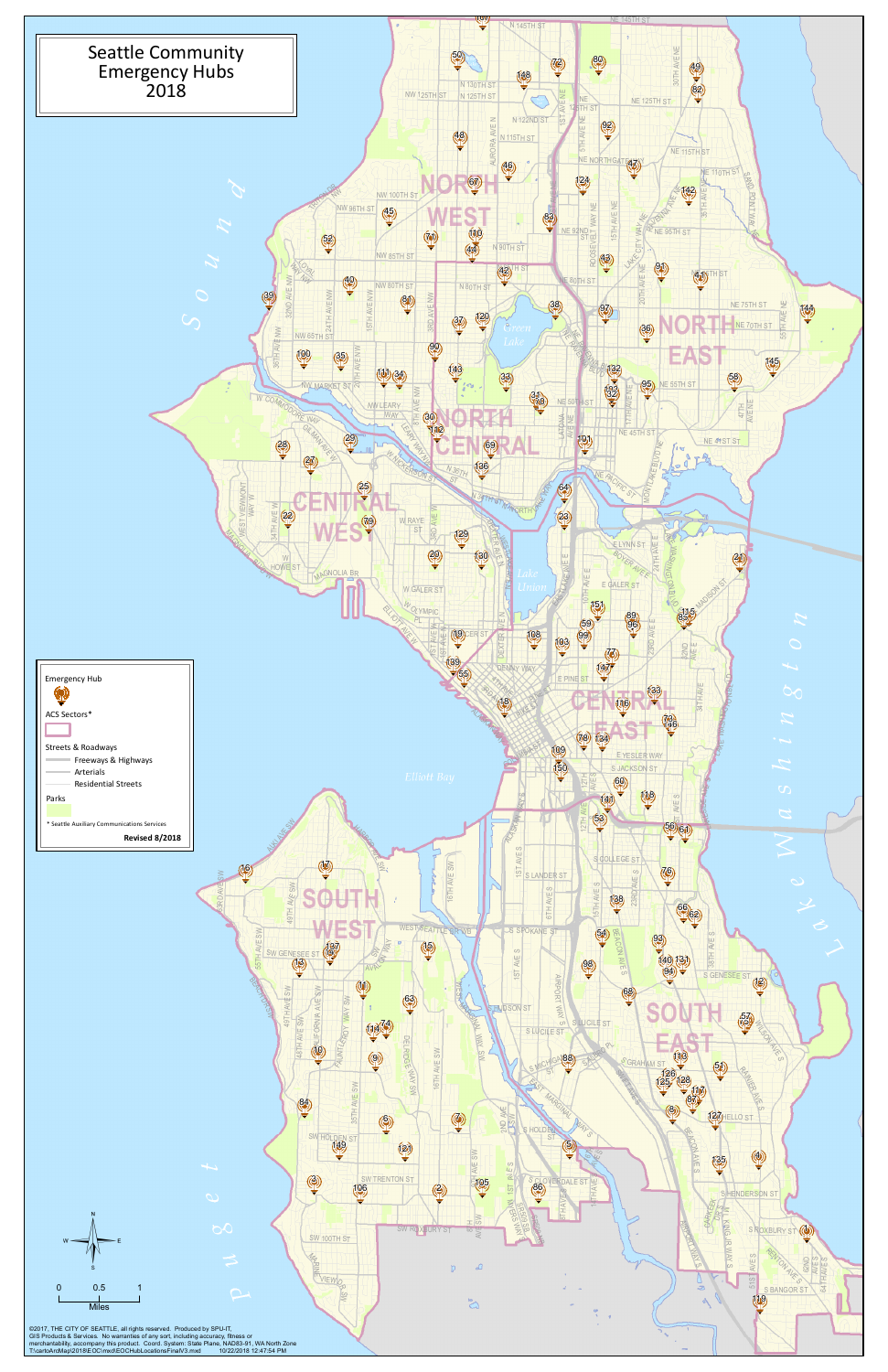